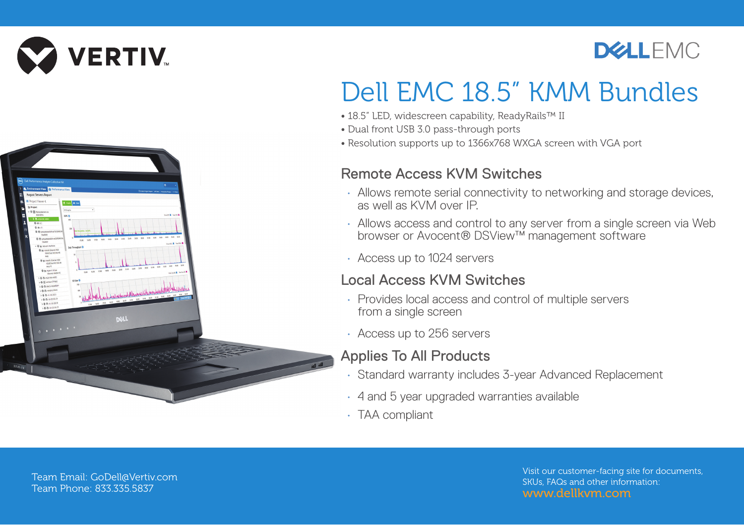

 $8000$ 



## Dell EMC 18.5" KMM Bundles

- 18.5" LED, widescreen capability, ReadyRails™ II
- Dual front USB 3.0 pass-through ports
- Resolution supports up to 1366x768 WXGA screen with VGA port

## Remote Access KVM Switches

- Allows remote serial connectivity to networking and storage devices. as well as KVM over IP.
- Allows access and control to any server from a single screen via Web browser or Avocent® DSView™ management software
- Access up to 1024 servers

## Local Access KVM Switches

- Provides local access and control of multiple servers from a single screen
- Access up to 256 servers

## Applies To All Products

- Standard warranty includes 3-year Advanced Replacement
- 4 and 5 year upgraded warranties available
- TAA compliant

Team Email: GoDell@Vertiv.com Team Phone: 833.335.5837

DOLL

Visit our customer-facing site for documents, SKUs, FAQs and other information: www.dellkvm.com